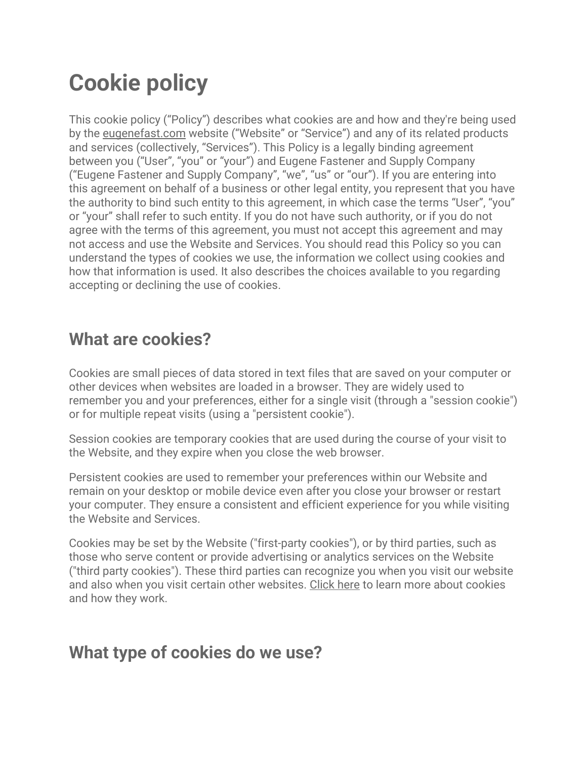# **Cookie policy**

This cookie policy ("Policy") describes what cookies are and how and they're being used by the eugenefast.com website ("Website" or "Service") and any of its related products and services (collectively, "Services"). This Policy is a legally binding agreement between you ("User", "you" or "your") and Eugene Fastener and Supply Company ("Eugene Fastener and Supply Company", "we", "us" or "our"). If you are entering into this agreement on behalf of a business or other legal entity, you represent that you have the authority to bind such entity to this agreement, in which case the terms "User", "you" or "your" shall refer to such entity. If you do not have such authority, or if you do not agree with the terms of this agreement, you must not accept this agreement and may not access and use the Website and Services. You should read this Policy so you can understand the types of cookies we use, the information we collect using cookies and how that information is used. It also describes the choices available to you regarding accepting or declining the use of cookies.

### **What are cookies?**

Cookies are small pieces of data stored in text files that are saved on your computer or other devices when websites are loaded in a browser. They are widely used to remember you and your preferences, either for a single visit (through a "session cookie") or for multiple repeat visits (using a "persistent cookie").

Session cookies are temporary cookies that are used during the course of your visit to the Website, and they expire when you close the web browser.

Persistent cookies are used to remember your preferences within our Website and remain on your desktop or mobile device even after you close your browser or restart your computer. They ensure a consistent and efficient experience for you while visiting the Website and Services.

Cookies may be set by the Website ("first-party cookies"), or by third parties, such as those who serve content or provide advertising or analytics services on the Website ("third party cookies"). These third parties can recognize you when you visit our website and also when you visit certain other websites. Click here to learn more about cookies and how they work.

### **What type of cookies do we use?**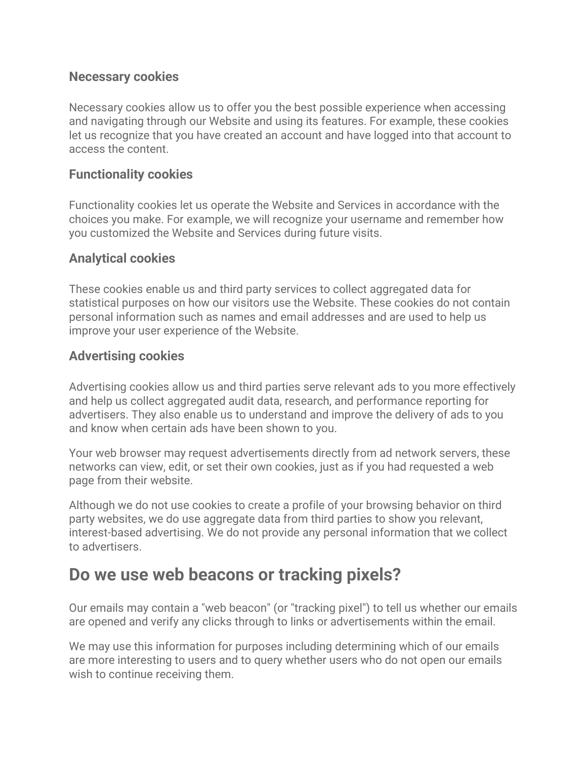#### **Necessary cookies**

Necessary cookies allow us to offer you the best possible experience when accessing and navigating through our Website and using its features. For example, these cookies let us recognize that you have created an account and have logged into that account to access the content.

#### **Functionality cookies**

Functionality cookies let us operate the Website and Services in accordance with the choices you make. For example, we will recognize your username and remember how you customized the Website and Services during future visits.

#### **Analytical cookies**

These cookies enable us and third party services to collect aggregated data for statistical purposes on how our visitors use the Website. These cookies do not contain personal information such as names and email addresses and are used to help us improve your user experience of the Website.

#### **Advertising cookies**

Advertising cookies allow us and third parties serve relevant ads to you more effectively and help us collect aggregated audit data, research, and performance reporting for advertisers. They also enable us to understand and improve the delivery of ads to you and know when certain ads have been shown to you.

Your web browser may request advertisements directly from ad network servers, these networks can view, edit, or set their own cookies, just as if you had requested a web page from their website.

Although we do not use cookies to create a profile of your browsing behavior on third party websites, we do use aggregate data from third parties to show you relevant, interest-based advertising. We do not provide any personal information that we collect to advertisers.

### **Do we use web beacons or tracking pixels?**

Our emails may contain a "web beacon" (or "tracking pixel") to tell us whether our emails are opened and verify any clicks through to links or advertisements within the email.

We may use this information for purposes including determining which of our emails are more interesting to users and to query whether users who do not open our emails wish to continue receiving them.